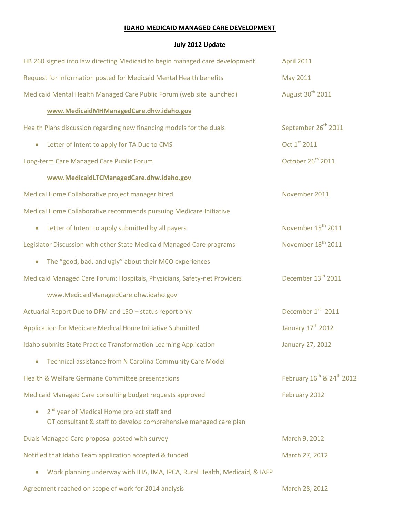## **IDAHO MEDICAID MANAGED CARE DEVELOPMENT**

## **July 2012 Update**

| HB 260 signed into law directing Medicaid to begin managed care development                                                | <b>April 2011</b>                                 |
|----------------------------------------------------------------------------------------------------------------------------|---------------------------------------------------|
| Request for Information posted for Medicaid Mental Health benefits                                                         | May 2011                                          |
| Medicaid Mental Health Managed Care Public Forum (web site launched)                                                       | August 30 <sup>th</sup> 2011                      |
| www.MedicaidMHManagedCare.dhw.idaho.gov                                                                                    |                                                   |
| Health Plans discussion regarding new financing models for the duals                                                       | September 26 <sup>th</sup> 2011                   |
| Letter of Intent to apply for TA Due to CMS                                                                                | Oct 1st 2011                                      |
| Long-term Care Managed Care Public Forum                                                                                   | October 26 <sup>th</sup> 2011                     |
| www.MedicaidLTCManagedCare.dhw.idaho.gov                                                                                   |                                                   |
| Medical Home Collaborative project manager hired                                                                           | November 2011                                     |
| Medical Home Collaborative recommends pursuing Medicare Initiative                                                         |                                                   |
| Letter of Intent to apply submitted by all payers<br>$\bullet$                                                             | November 15 <sup>th</sup> 2011                    |
| Legislator Discussion with other State Medicaid Managed Care programs                                                      | November 18 <sup>th</sup> 2011                    |
| The "good, bad, and ugly" about their MCO experiences<br>$\bullet$                                                         |                                                   |
| Medicaid Managed Care Forum: Hospitals, Physicians, Safety-net Providers                                                   | December 13 <sup>th</sup> 2011                    |
| www.MedicaidManagedCare.dhw.idaho.gov                                                                                      |                                                   |
| Actuarial Report Due to DFM and LSO - status report only                                                                   | December 1st 2011                                 |
| Application for Medicare Medical Home Initiative Submitted                                                                 | January 17 <sup>th</sup> 2012                     |
| Idaho submits State Practice Transformation Learning Application                                                           | <b>January 27, 2012</b>                           |
| Technical assistance from N Carolina Community Care Model                                                                  |                                                   |
| Health & Welfare Germane Committee presentations                                                                           | February 16 <sup>th</sup> & 24 <sup>th</sup> 2012 |
| Medicaid Managed Care consulting budget requests approved                                                                  | February 2012                                     |
| 2 <sup>nd</sup> year of Medical Home project staff and<br>OT consultant & staff to develop comprehensive managed care plan |                                                   |
| Duals Managed Care proposal posted with survey                                                                             | March 9, 2012                                     |
| Notified that Idaho Team application accepted & funded                                                                     | March 27, 2012                                    |
| Work planning underway with IHA, IMA, IPCA, Rural Health, Medicaid, & IAFP                                                 |                                                   |
|                                                                                                                            |                                                   |

Agreement reached on scope of work for 2014 analysis March 28, 2012